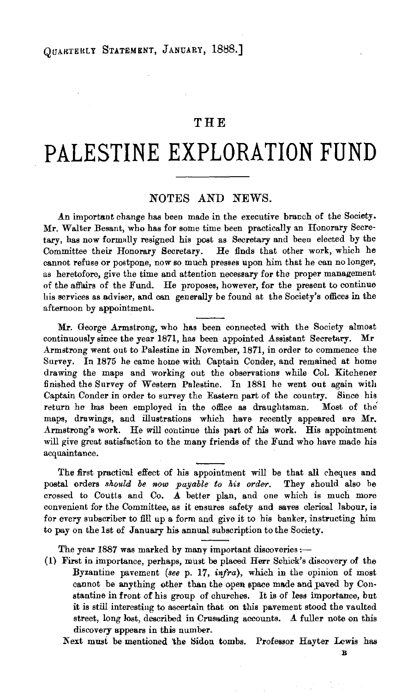## **THE**

## **PALESTINE EXPLORATION FUND**

## NOTES AND NEWS.

An important change has been made in the executive branch of the Society. Mr. Waiter Besant, who has for some time been practically an Honorary Secretary, has now formally resigned his post as Secretary and been elected by the Committee their Honorary Secretary. He finds that other work, which he cannot refuse or postpone, now so much presses upon him that he can no longer, as heretofore, give the time and attention necessary for the proper management of the affairs of the Fund. He proposes, however, for the present to continue his services as adviser, and can generally be found at the Society's offices in the afternoon by appointment.

Mr. George Armstrong, who has been connected with the Society almost continuously since the year 1871, has been appointed Assistant Secretary. Mr Armstrong went out to Palestine in November, 1871, in order to commence the Survey. In 1875 he came home with Captain Conder, and remained at home drawing the maps and working out the observations while Col. Kitchener finished the Survey of Western Palestine. In 1881 he went out again with Captain Conder in order to survey the Eastern part of the country. Since his return he has been employed in the office as draughtsman. Most of the maps, drawings, and illustrations which have recently appeared are Mr. Armstrong's work. He will continue this part of his work. His appointment will give great satisfaction to the many friends of the Fund who have made his acquaintance.

The first practical effect of his appointment will be that all cheques and postal orders *should be now payable to his order.* They should also be crossed to Coutts and Co. A better plan, and one which is much more convenient for the Committee, as it ensures safety and saves clerical labour, is for every subscriber to fill up a form and give it to his banker, instructing him to pay on the 1st of January his annual subscription to the Society.

The year 1887 was marked by many important discoveries:-

(1) First in importance, perhaps, must be placed Herr Schick's discovery of the Byzantine pavement *(see p. 17, infra)*, which in the opinion of most cannot be anything other than the open space made and paved by Constantine in front of his group of churches. It is of less importance, but it is still interesting to ascertain that on this pavement stood the vaulted street, long lost, described in Crusading accounts. A fuller note on this discovery appears in this number.

Next must be mentioned the Sidon tombs. Professor Hayter Lewis has

B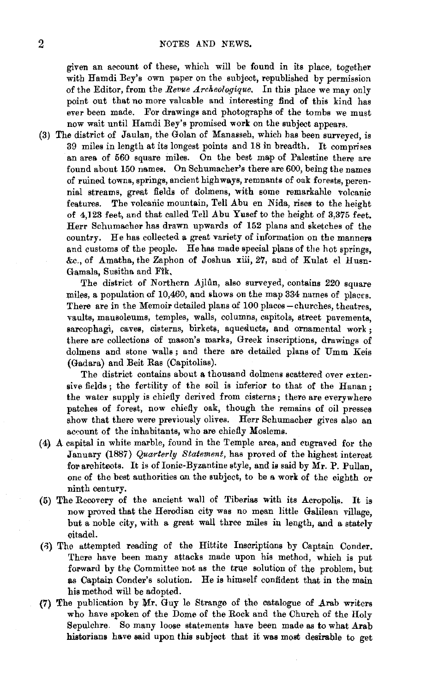given an account of these, which will be found in its place, together with Hamdi Bey's own paper on the subject, republished by permission of the Editor, from the *Revue Archeologique,* In this plaoe we may only point out that no more valuable and interesting find of this kind has ever been made, For drawings and photographs of the tombs we must now wait until Hamdi Bey's promised work on the subject appears.

(3) The district of Jaulan, the Golan of Manasseh, which has been surveyed, is 39 miles in length at its longest points and 18 in breadth. It comprises an area of 560 square miles. On the best map of Palestine there are found about 150 names. On Schumacher's there are 600, being the names of ruined towns, springs, ancient highways, remnants of oak forests, perennial streams, great fields of dolmens, with some remarkable volcanic features. The volcanic mountain, Tell Abu en Nida, rises to the height of 4,123 feet, and that called Tell Abu Yusef to the height of 3,375 feet. Herr Schumacher has drawn upwards of 152 plans and sketches of the country. He has collected a great variety of information on the manners and customs of the people. He has made special plans of the hot springs, &c., of Amatha, the Zaphon of Joshua xiii, 27, and of Ku1at el Husn-Gamala, Susitha and Fik,

The district of Northern Ajlûn, also surveyed, contains 220 square miles, a population of 10,460, and shows on the map 334 names of places. There are in the Memoir detailed plans of 100 places - churches, theatres, vaults, mausoleums, temples, walls, columns, capitols, street pavements, sarcophagi, caves, cisterns, birkets, aqueducts, and ornamental work ; there are collections of mason's marks, Greek inscriptions, drawings of dolmens and stone walls; and there are detailed plans of Umm Keis (Gadara) and Beit Ras (Capitolias).

The district contains about a thousand dolmens scattered over extensive fields; the fertility of the soil is inferior to that of the Hanan; the water supply is chiefly derived from cisterns; there are everywhere patches of forest, now chiefly oak, though the remains of oil presses show that there were previously olives. Herr Schumacher gives also an account of the inhabitants, who are chiefly Moslems.

- (4) A capital in white marble, found in the Temple area, and engraved for the January (1887) *Quarterly Statement,* has proved of the highest interest for architects. It is of Ionic-Byzantine style, and is said by Mr. P. Pullan, one of the best authorities on the subject, to be a work of the eighth or ninth century.
- (5) The Recovery of the ancient wall of Tiberias with its Acropolis. It is now proved that the Herodian city was no mean little Galilean village, but a noble city, with a great wall three miles in length, and a stately citadel.
- (.J) The attempted reading of the Hittite Inscriptions by Captain Conder. There have been many attacks made upon his method, which is put forward by the Committee not as the true solution of the problem, but as Captain Conder's solution. He is himself confident that in the main his method will be adopted.
- (7) The publication by  $Mr$ . Guy le Strange of the catalogue of  $Arab$  writers who have spoken of the Dome of the Rock and the Church of the Holy Sepulchre. So many loose statements have been made as to what Arab historians have said upon this subject that it was most desirable to get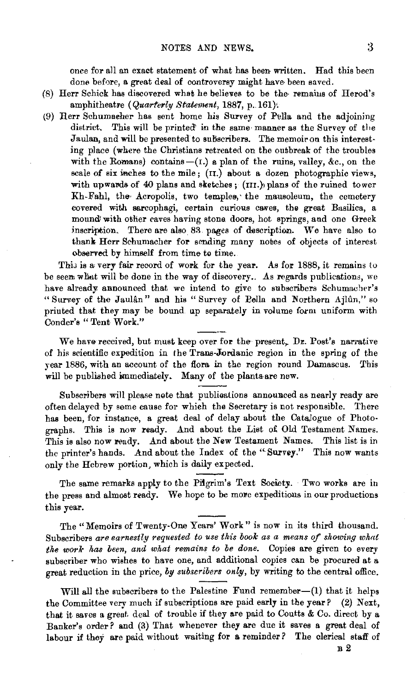once for all an exact statement of what has been written. Had this been done before, a great deal of controversy might have· been saved.

- (8) Herr Schick has discovered what he believes to be the· remaius of Herod's amphitheatre (*Quarterly Statement*, 1887, p. 161).
- (9) Rerr Schumaeher has sent home his Survey of PeUa and the adjoining district. This will be printed' in the same· manner as the Survey of the Jaulan, and will be presented to subscribers. The memoir on this interesting place (where the Christians retreated on the outbreak of the troubles with the Romans) contains-(1.) a plan of the ruins, valley, &c., on the scale of six inches to the mile; ( $\text{tr.}$ ) about a dozen photographic views, with upwards of 40 plans and sketches; (III.) plans of the ruined tower Kh-Fahl, the Acropolis, two temples, the mausoleum, the cemetery covered with sarcophagi, certain curious caves, the great Basilica, a mound' with other caves having stone doors, hot springs, and one Greek inscription. There are also 83 pages of description. We have also to thank Herr Schumacher for sending many notes of objects of interest observed by himself from time to time.

This is a very fair record of work for the year. As for 1888, it remains to be seem what will be done in the way of discovery.. As regards publications, we have already announced that we intend to give to subscribers Schumacher's "Survey of the Jaulân" and his "Survey of Pella and Northern Ajlûn," so printed that they may be bound up separately in volume form uniform with Conder's "Tent Work."

We have received, but must keep over for the present, Dr. Post's narrative of his scientific expedition in the Trans-Jordanic region in the spring of the year 1886, with an account of the flora in the region round Damascus. This will be published immediately. Many of the plants are new.

Subscribers will please nete that publioations annouaced as nearly ready are often delayed by some cause for which the Secretary is not responsible. There has been, for instance, a great deal of delay about the Catalogue of Photographs. This is now ready. And about the List of Old Testament Names. This is also now ready. And about the New Testament Names. This list is in the printer's hands. And about the Index o£ the "Survey." This now wants only the Hebrew portion, which is daily expected.

The same remarks apply to the Piigrim's Text Society. Two works are in the press and almost ready. We hope to be more expeditious in our productions this year.

The "Memoirs of Twenty-One Years' Work" is now in its third thousand. Subscribers are earnestly requested to use this book as a means of showing what *the work has been, and what remains to be done.* Copies are given to every subscriber who wishes to have one, and additional copies can be procured at a great reduction in the price, *by subscribers only,* by writing to the central office.

Will all the subscribers to the Palestine Fund remember- $(1)$  that it helps the Committee very much if subscriptions are paid early in the year? (2) Next, that it saves a great deal of trouble if they are paid to Coutts & Co. direct by a Banker's order? &nd (3) That whenever they are due it saves a great deal of labour if they are paid without waiting for a reminder *?* The clerical staff of